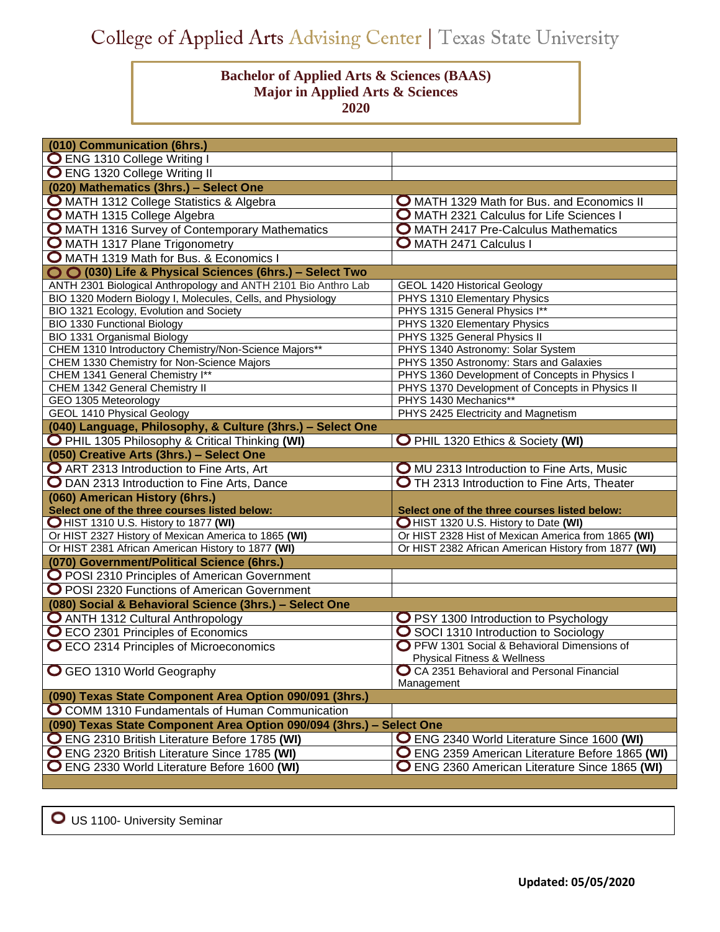## College of Applied Arts Advising Center | Texas State University

## **Bachelor of Applied Arts & Sciences (BAAS) Major in Applied Arts & Sciences 2020**

| (010) Communication (6hrs.)                                                   |                                                                                        |
|-------------------------------------------------------------------------------|----------------------------------------------------------------------------------------|
| <b>O</b> ENG 1310 College Writing I                                           |                                                                                        |
| <b>O</b> ENG 1320 College Writing II                                          |                                                                                        |
| (020) Mathematics (3hrs.) - Select One                                        |                                                                                        |
| O MATH 1312 College Statistics & Algebra                                      | <b>O</b> MATH 1329 Math for Bus. and Economics II                                      |
| O MATH 1315 College Algebra                                                   | O MATH 2321 Calculus for Life Sciences I                                               |
| O MATH 1316 Survey of Contemporary Mathematics                                | O MATH 2417 Pre-Calculus Mathematics                                                   |
| O MATH 1317 Plane Trigonometry                                                | <b>O</b> MATH 2471 Calculus I                                                          |
| O MATH 1319 Math for Bus. & Economics I                                       |                                                                                        |
| O O (030) Life & Physical Sciences (6hrs.) - Select Two                       |                                                                                        |
| ANTH 2301 Biological Anthropology and ANTH 2101 Bio Anthro Lab                | <b>GEOL 1420 Historical Geology</b>                                                    |
| BIO 1320 Modern Biology I, Molecules, Cells, and Physiology                   | PHYS 1310 Elementary Physics                                                           |
| BIO 1321 Ecology, Evolution and Society                                       | PHYS 1315 General Physics I**                                                          |
| <b>BIO 1330 Functional Biology</b>                                            | PHYS 1320 Elementary Physics                                                           |
| BIO 1331 Organismal Biology                                                   | PHYS 1325 General Physics II                                                           |
| CHEM 1310 Introductory Chemistry/Non-Science Majors**                         | PHYS 1340 Astronomy: Solar System<br>PHYS 1350 Astronomy: Stars and Galaxies           |
| CHEM 1330 Chemistry for Non-Science Majors<br>CHEM 1341 General Chemistry I** | PHYS 1360 Development of Concepts in Physics I                                         |
| CHEM 1342 General Chemistry II                                                | PHYS 1370 Development of Concepts in Physics II                                        |
| GEO 1305 Meteorology                                                          | PHYS 1430 Mechanics**                                                                  |
| <b>GEOL 1410 Physical Geology</b>                                             | PHYS 2425 Electricity and Magnetism                                                    |
| (040) Language, Philosophy, & Culture (3hrs.) - Select One                    |                                                                                        |
| O PHIL 1305 Philosophy & Critical Thinking (WI)                               | O PHIL 1320 Ethics & Society (WI)                                                      |
| (050) Creative Arts (3hrs.) - Select One                                      |                                                                                        |
| <b>O</b> ART 2313 Introduction to Fine Arts, Art                              | <b>O</b> MU 2313 Introduction to Fine Arts, Music                                      |
| O DAN 2313 Introduction to Fine Arts, Dance                                   | <b>O</b> TH 2313 Introduction to Fine Arts, Theater                                    |
| (060) American History (6hrs.)                                                |                                                                                        |
| Select one of the three courses listed below:                                 | Select one of the three courses listed below:                                          |
| OHIST 1310 U.S. History to 1877 (WI)                                          | OHIST 1320 U.S. History to Date (WI)                                                   |
| Or HIST 2327 History of Mexican America to 1865 (WI)                          | Or HIST 2328 Hist of Mexican America from 1865 (WI)                                    |
| Or HIST 2381 African American History to 1877 (WI)                            | Or HIST 2382 African American History from 1877 (WI)                                   |
| (070) Government/Political Science (6hrs.)                                    |                                                                                        |
| O POSI 2310 Principles of American Government                                 |                                                                                        |
| O POSI 2320 Functions of American Government                                  |                                                                                        |
| (080) Social & Behavioral Science (3hrs.) - Select One                        |                                                                                        |
| O ANTH 1312 Cultural Anthropology                                             | O PSY 1300 Introduction to Psychology                                                  |
| O ECO 2301 Principles of Economics                                            | ◯ SOCI 1310 Introduction to Sociology                                                  |
| O ECO 2314 Principles of Microeconomics                                       | O PFW 1301 Social & Behavioral Dimensions of<br><b>Physical Fitness &amp; Wellness</b> |
| <b>O</b> GEO 1310 World Geography                                             | ◯ CA 2351 Behavioral and Personal Financial                                            |
|                                                                               | Management                                                                             |
| (090) Texas State Component Area Option 090/091 (3hrs.)                       |                                                                                        |
| O COMM 1310 Fundamentals of Human Communication                               |                                                                                        |
| (090) Texas State Component Area Option 090/094 (3hrs.)                       | - Select One                                                                           |
| O ENG 2310 British Literature Before 1785 (WI)                                | O ENG 2340 World Literature Since 1600 (WI)                                            |
| O ENG 2320 British Literature Since 1785 (WI)                                 | O ENG 2359 American Literature Before 1865 (WI)                                        |
| O ENG 2330 World Literature Before 1600 (WI)                                  | O ENG 2360 American Literature Since 1865 (WI)                                         |

O US 1100- University Seminar